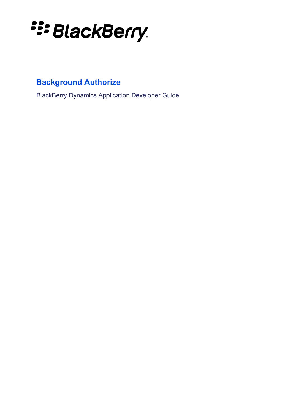

# **Background Authorize**

BlackBerry Dynamics Application Developer Guide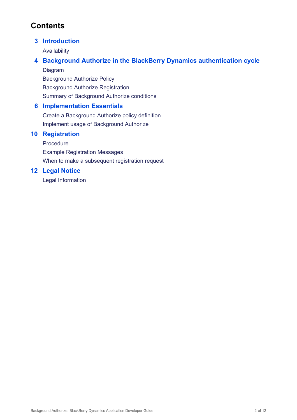# **Contents**

## **3 [Introduction](#page-2-0)**

[Availability](#page-2-1)

## **4 Background Authorize in the BlackBerry Dynamics [authentication](#page-3-0) cycle**

[Diagram](#page-3-1) [Background](#page-4-0) Authorize Policy [Background](#page-4-1) Authorize Registration Summary of [Background](#page-4-2) Authorize conditions

## **6 [Implementation](#page-5-0) Essentials**

Create a [Background](#page-6-0) Authorize policy definition Implement usage of [Background](#page-8-0) Authorize

## **10 [Registration](#page-9-0)**

[Procedure](#page-9-1) Example [Registration](#page-9-2) Messages When to make a [subsequent](#page-10-0) registration request

## **12 Legal [Notice](#page-11-0)**

Legal [Information](#page-11-1)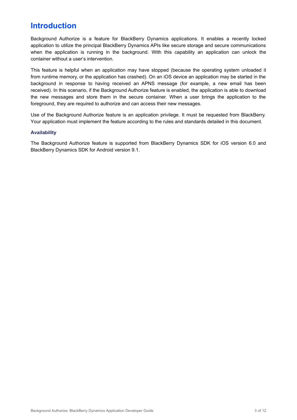## <span id="page-2-0"></span>**Introduction**

Background Authorize is a feature for BlackBerry Dynamics applications. It enables a recently locked application to utilize the principal BlackBerry Dynamics APIs like secure storage and secure communications when the application is running in the background. With this capability an application can unlock the container without a user's intervention.

This feature is helpful when an application may have stopped (because the operating system unloaded it from runtime memory, or the application has crashed). On an iOS device an application may be started in the background in response to having received an APNS message (for example, a new email has been received). In this scenario, if the Background Authorize feature is enabled, the application is able to download the new messages and store them in the secure container. When a user brings the application to the foreground, they are required to authorize and can access their new messages.

Use of the Background Authorize feature is an application privilege. It must be requested from BlackBerry. Your application must implement the feature according to the rules and standards detailed in this document.

#### <span id="page-2-1"></span>**Availability**

The Background Authorize feature is supported from BlackBerry Dynamics SDK for iOS version 6.0 and BlackBerry Dynamics SDK for Android version 9.1.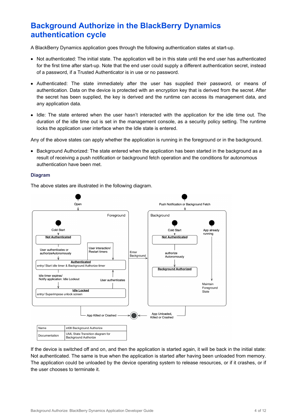## <span id="page-3-0"></span>**Background Authorize in the BlackBerry Dynamics authentication cycle**

A BlackBerry Dynamics application goes through the following authentication states at start-up.

- Not authenticated: The initial state. The application will be in this state until the end user has authenticated for the first time after start-up. Note that the end user could supply a different authentication secret, instead of a password, if a Trusted Authenticator is in use or no password.
- Authenticated: The state immediately after the user has supplied their password, or means of authentication. Data on the device is protected with an encryption key that is derived from the secret. After the secret has been supplied, the key is derived and the runtime can access its management data, and any application data.
- Idle: The state entered when the user hasn't interacted with the application for the idle time out. The duration of the idle time out is set in the management console, as a security policy setting. The runtime locks the application user interface when the Idle state is entered.

Any of the above states can apply whether the application is running in the foreground or in the background.

• Background Authorized: The state entered when the application has been started in the background as a result of receiving a push notification or background fetch operation and the conditions for autonomous authentication have been met.

#### <span id="page-3-1"></span>**Diagram**

The above states are illustrated in the following diagram.



If the device is switched off and on, and then the application is started again, it will be back in the initial state: Not authenticated. The same is true when the application is started after having been unloaded from memory. The application could be unloaded by the device operating system to release resources, or if it crashes, or if the user chooses to terminate it.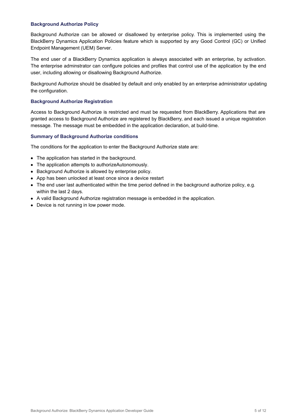#### <span id="page-4-0"></span>**Background Authorize Policy**

Background Authorize can be allowed or disallowed by enterprise policy. This is implemented using the BlackBerry Dynamics Application Policies feature which is supported by any Good Control (GC) or Unified Endpoint Management (UEM) Server.

The end user of a BlackBerry Dynamics application is always associated with an enterprise, by activation. The enterprise adminstrator can configure policies and profiles that control use of the application by the end user, including allowing or disallowing Background Authorize.

Background Authorize should be disabled by default and only enabled by an enterprise administrator updating the configuration.

#### <span id="page-4-1"></span>**Background Authorize Registration**

Access to Background Authorize is restricted and must be requested from BlackBerry. Applications that are granted access to Background Authorize are registered by BlackBerry, and each issued a unique registration message. The message must be embedded in the application declaration, at build-time.

#### <span id="page-4-2"></span>**Summary of Background Authorize conditions**

The conditions for the application to enter the Background Authorize state are:

- The application has started in the background.
- The application attempts to authorizeAutonomously.
- Background Authorize is allowed by enterprise policy.
- App has been unlocked at least once since a device restart
- The end user last authenticated within the time period defined in the background authorize policy, e.g. within the last 2 days.
- A valid Background Authorize registration message is embedded in the application.
- Device is not running in low power mode.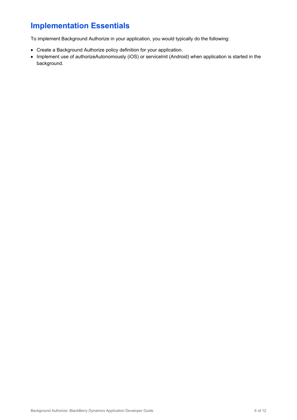# <span id="page-5-0"></span>**Implementation Essentials**

To implement Background Authorize in your application, you would typically do the following:

- Create a Background Authorize policy definition for your application.
- Implement use of authorizeAutonomously (iOS) or serviceInit (Android) when application is started in the background.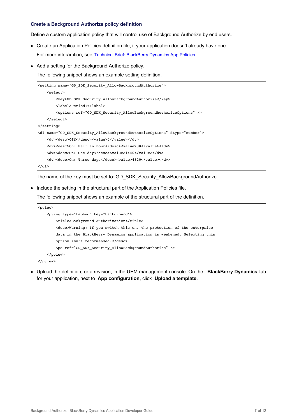#### <span id="page-6-0"></span>**Create a Background Authorize policy definition**

Define a custom application policy that will control use of Background Authorize by end users.

- Create an Application Policies definition file, if your application doesn't already have one. For more inforamtion, see Technical Brief: [BlackBerry](https://docs.blackberry.com/content/dam/docs-blackberry-com/release-pdfs/en/blackberry-dynamics/application-policies.pdf) Dynamics App Policies
- Add a setting for the Background Authorize policy.

The following snippet shows an example setting definition.

```
<setting name="GD_SDK_Security_AllowBackgroundAuthorize">
   <select>
        <key>GD_SDK_Security_AllowBackgroundAuthorize</key>
       <label>Period:</label>
        <options ref="GD_SDK_Security_AllowBackgroundAuthorizeOptions" />
   \langleselect>
</setting>
<dl name="GD_SDK_Security_AllowBackgroundAuthorizeOptions" dtype="number">
   <dv><desc>Off</desc><value>0</value></dv>
   <dv><desc>On: Half an hour</desc><value>30</value></dv>
   <dv><desc>On: One day</desc><value>1440</value></dv>
   <dv><desc>On: Three days</desc><value>4320</value></dv>
\langledl>
```
The name of the key must be set to: GD\_SDK\_Security\_AllowBackgroundAuthorize

Include the setting in the structural part of the Application Policies file.

The following snippet shows an example of the structural part of the definition.

```
<pview>
   <pview type="tabbed" key="background">
       <title>Background Authorization</title>
       <desc>Warning: If you switch this on, the protection of the enterprise
       data in the BlackBerry Dynamics application is weakened. Selecting this
       option isn't recommended.</desc>
       <pe ref="GD_SDK_Security_AllowBackgroundAuthorize" />
   </pview>
</pview>
```
Upload the definition, or a revision, in the UEM management console. On the **BlackBerry Dynamics** tab for your application, next to **App configuration**, click **Upload a template**.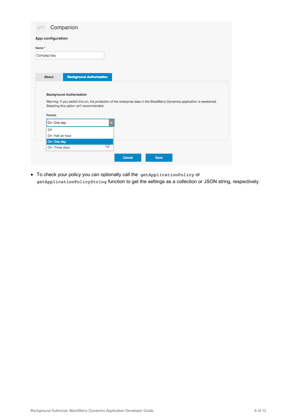| App configuration<br>Name*<br>Compbg1day<br><b>Background Authorization</b><br>About<br><b>Background Authorization</b><br>Warning: If you switch this on, the protection of the enterprise data in the BlackBerry Dynamics application is weakened.<br>Selecting this option isn't recommended.<br>Period:<br>On: One day<br>Off<br>On: Half an hour<br>On: One day<br>Ġ<br>On: Three days<br>Cancel<br><b>Save</b> | APP | Companion |  |  |  |
|----------------------------------------------------------------------------------------------------------------------------------------------------------------------------------------------------------------------------------------------------------------------------------------------------------------------------------------------------------------------------------------------------------------------|-----|-----------|--|--|--|
|                                                                                                                                                                                                                                                                                                                                                                                                                      |     |           |  |  |  |
|                                                                                                                                                                                                                                                                                                                                                                                                                      |     |           |  |  |  |
|                                                                                                                                                                                                                                                                                                                                                                                                                      |     |           |  |  |  |
|                                                                                                                                                                                                                                                                                                                                                                                                                      |     |           |  |  |  |
|                                                                                                                                                                                                                                                                                                                                                                                                                      |     |           |  |  |  |
|                                                                                                                                                                                                                                                                                                                                                                                                                      |     |           |  |  |  |
|                                                                                                                                                                                                                                                                                                                                                                                                                      |     |           |  |  |  |
|                                                                                                                                                                                                                                                                                                                                                                                                                      |     |           |  |  |  |
|                                                                                                                                                                                                                                                                                                                                                                                                                      |     |           |  |  |  |
|                                                                                                                                                                                                                                                                                                                                                                                                                      |     |           |  |  |  |
|                                                                                                                                                                                                                                                                                                                                                                                                                      |     |           |  |  |  |
|                                                                                                                                                                                                                                                                                                                                                                                                                      |     |           |  |  |  |
|                                                                                                                                                                                                                                                                                                                                                                                                                      |     |           |  |  |  |

To check your policy you can optionally call the getApplicationPolicy or getApplicationPolicyString function to get the settings as a collection or JSON string, respectively.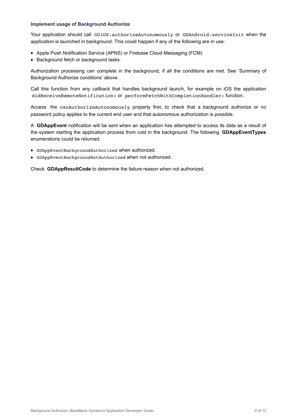#### <span id="page-8-0"></span>**Implement usage of Background Authorize**

Your application should call GDiOS.authorizeAutonomously or GDAndroid.serviceInit when the application is launched in background. This could happen if any of the following are in use:

- Apple Push Notification Service (APNS) or Firebase Cloud Messaging (FCM)
- Background fetch or background tasks.

Authorization processing can complete in the background, if all the conditions are met. See 'Summary of Background Authorize conditions' above.

Call this function from any callback that handles background launch, for example on iOS the application didReceiveRemoteNotification: or performFetchWithCompletionHandler: function.

Access the canAuthorizeAutonomously property first, to check that a background authorize or no password policy applies to the current end user and that autonomous authorization is possible.

A **GDAppEvent** notification will be sent when an application has attempted to access its data as a result of the system starting the application process from cold in the background. The following **GDAppEventTypes** enumerations could be returned.

- GDAppEventBackgroundAuthorized when authorized.
- GDAppEventBackgroundNotAuthorized when not authorized.

Check **GDAppResultCode** to determine the failure reason when not authorized.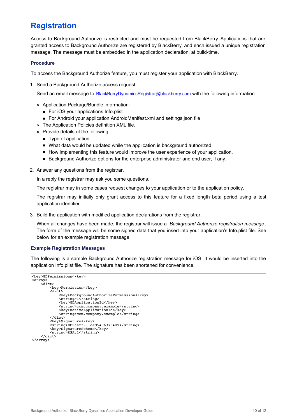# <span id="page-9-0"></span>**Registration**

Access to Background Authorize is restricted and must be requested from BlackBerry. Applications that are granted access to Background Authorize are registered by BlackBerry, and each issued a unique registration message. The message must be embedded in the application declaration, at build-time.

#### <span id="page-9-1"></span>**Procedure**

To access the Background Authorize feature, you must register your application with BlackBerry.

1. Send a Background Authorize access request.

Send an email message to [BlackBerryDynamicsRegistrar@blackberry.com](mailto:BlackBerryDynamicsRegistrar@blackberry.com) with the following information:

- Application Package/Bundle information:
	- For iOS your applications Info.plist
	- For Android your application AndroidManifest.xml and settings.json file
- The Application Policies definition XML file.
- Provide details of the following:
	- Type of application.
	- What data would be updated while the application is background authorized
	- How implementing this feature would improve the user experience of your application.
	- Background Authorize options for the enterprise administrator and end user, if any.
- 2. Answer any questions from the registrar.

In a reply the registrar may ask you some questions.

The registrar may in some cases request changes to your application or to the application policy.

The registrar may initially only grant access to this feature for a fixed length beta period using a test application identifier.

3. Build the application with modified application declarations from the registrar.

When all changes have been made, the registrar will issue a *Background Authorize registration message*. The form of the message will be some signed data that you insert into your application's Info.plist file. See below for an example registration message.

#### <span id="page-9-2"></span>**Example Registration Messages**

The following is a sample Background Authorize registration message for iOS. It would be inserted into the application Info.plist file. The signature has been shortened for convenience.

```
<key>GDPermissions</key>
<array>
    \simdict\sim<key>Permission</key>
         <dict>
             <key>BackgroundAuthorizePermission</key>
             <string>1</string>
             <key>GDApplicationId</key>
             <string>com.company.example</string>
<key>nativeApplicationId</key>
             <string>com.company.example</string>
        \langledict\rangle<key>Signature</key>
         <string>0b9aeff...ced54863754d9</string>
        <key>SignatureScheme</key>
         <string>RSAv1</string>
    </dict>
</array>
```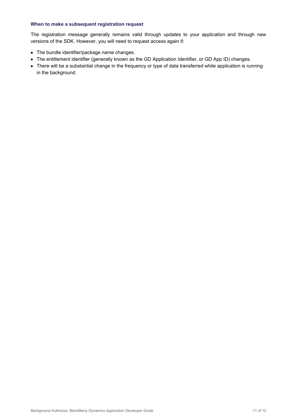#### <span id="page-10-0"></span>**When to make a subsequent registration request**

The registration message generally remains valid through updates to your application and through new versions of the SDK. However, you will need to request access again if:

- The bundle identifier/package name changes.
- The entitlement identifier (generally known as the GD Application Identifier, or GD App ID) changes.
- There will be a substantial change in the frequency or type of data transferred while application is running in the background.